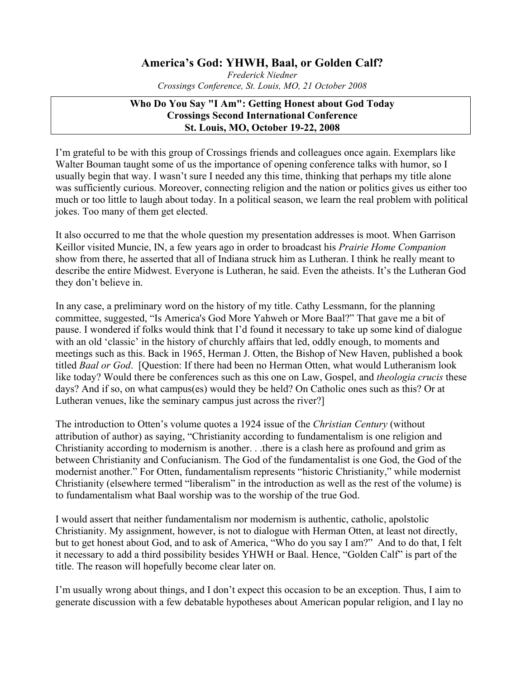## **America's God: YHWH, Baal, or Golden Calf?**

*Frederick Niedner Crossings Conference, St. Louis, MO, 21 October 2008*

## **Who Do You Say "I Am": Getting Honest about God Today Crossings Second International Conference St. Louis, MO, October 19-22, 2008**

I'm grateful to be with this group of Crossings friends and colleagues once again. Exemplars like Walter Bouman taught some of us the importance of opening conference talks with humor, so I usually begin that way. I wasn't sure I needed any this time, thinking that perhaps my title alone was sufficiently curious. Moreover, connecting religion and the nation or politics gives us either too much or too little to laugh about today. In a political season, we learn the real problem with political jokes. Too many of them get elected.

It also occurred to me that the whole question my presentation addresses is moot. When Garrison Keillor visited Muncie, IN, a few years ago in order to broadcast his *Prairie Home Companion* show from there, he asserted that all of Indiana struck him as Lutheran. I think he really meant to describe the entire Midwest. Everyone is Lutheran, he said. Even the atheists. It's the Lutheran God they don't believe in.

In any case, a preliminary word on the history of my title. Cathy Lessmann, for the planning committee, suggested, "Is America's God More Yahweh or More Baal?" That gave me a bit of pause. I wondered if folks would think that I'd found it necessary to take up some kind of dialogue with an old 'classic' in the history of churchly affairs that led, oddly enough, to moments and meetings such as this. Back in 1965, Herman J. Otten, the Bishop of New Haven, published a book titled *Baal or God*. [Question: If there had been no Herman Otten, what would Lutheranism look like today? Would there be conferences such as this one on Law, Gospel, and *theologia crucis* these days? And if so, on what campus(es) would they be held? On Catholic ones such as this? Or at Lutheran venues, like the seminary campus just across the river?]

The introduction to Otten's volume quotes a 1924 issue of the *Christian Century* (without attribution of author) as saying, "Christianity according to fundamentalism is one religion and Christianity according to modernism is another. . .there is a clash here as profound and grim as between Christianity and Confucianism. The God of the fundamentalist is one God, the God of the modernist another." For Otten, fundamentalism represents "historic Christianity," while modernist Christianity (elsewhere termed "liberalism" in the introduction as well as the rest of the volume) is to fundamentalism what Baal worship was to the worship of the true God.

I would assert that neither fundamentalism nor modernism is authentic, catholic, apolstolic Christianity. My assignment, however, is not to dialogue with Herman Otten, at least not directly, but to get honest about God, and to ask of America, "Who do you say I am?" And to do that, I felt it necessary to add a third possibility besides YHWH or Baal. Hence, "Golden Calf" is part of the title. The reason will hopefully become clear later on.

I'm usually wrong about things, and I don't expect this occasion to be an exception. Thus, I aim to generate discussion with a few debatable hypotheses about American popular religion, and I lay no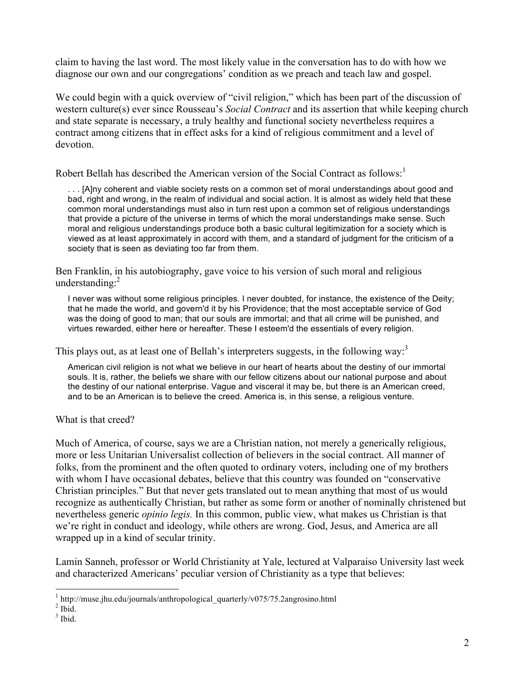claim to having the last word. The most likely value in the conversation has to do with how we diagnose our own and our congregations' condition as we preach and teach law and gospel.

We could begin with a quick overview of "civil religion," which has been part of the discussion of western culture(s) ever since Rousseau's *Social Contract* and its assertion that while keeping church and state separate is necessary, a truly healthy and functional society nevertheless requires a contract among citizens that in effect asks for a kind of religious commitment and a level of devotion.

Robert Bellah has described the American version of the Social Contract as follows:<sup>1</sup>

. . . [A]ny coherent and viable society rests on a common set of moral understandings about good and bad, right and wrong, in the realm of individual and social action. It is almost as widely held that these common moral understandings must also in turn rest upon a common set of religious understandings that provide a picture of the universe in terms of which the moral understandings make sense. Such moral and religious understandings produce both a basic cultural legitimization for a society which is viewed as at least approximately in accord with them, and a standard of judgment for the criticism of a society that is seen as deviating too far from them.

Ben Franklin, in his autobiography, gave voice to his version of such moral and religious understanding:<sup>2</sup>

I never was without some religious principles. I never doubted, for instance, the existence of the Deity; that he made the world, and govern'd it by his Providence; that the most acceptable service of God was the doing of good to man; that our souls are immortal; and that all crime will be punished, and virtues rewarded, either here or hereafter. These I esteem'd the essentials of every religion.

This plays out, as at least one of Bellah's interpreters suggests, in the following way:<sup>3</sup>

American civil religion is not what we believe in our heart of hearts about the destiny of our immortal souls. It is, rather, the beliefs we share with our fellow citizens about our national purpose and about the destiny of our national enterprise. Vague and visceral it may be, but there is an American creed, and to be an American is to believe the creed. America is, in this sense, a religious venture.

What is that creed?

Much of America, of course, says we are a Christian nation, not merely a generically religious, more or less Unitarian Universalist collection of believers in the social contract. All manner of folks, from the prominent and the often quoted to ordinary voters, including one of my brothers with whom I have occasional debates, believe that this country was founded on "conservative" Christian principles." But that never gets translated out to mean anything that most of us would recognize as authentically Christian, but rather as some form or another of nominally christened but nevertheless generic *opinio legis.* In this common, public view, what makes us Christian is that we're right in conduct and ideology, while others are wrong. God, Jesus, and America are all wrapped up in a kind of secular trinity.

Lamin Sanneh, professor or World Christianity at Yale, lectured at Valparaiso University last week and characterized Americans' peculiar version of Christianity as a type that believes:

 $1$  http://muse.jhu.edu/journals/anthropological quarterly/v075/75.2angrosino.html

 $<sup>2</sup>$  Ibid.</sup>

 $3$  Ibid.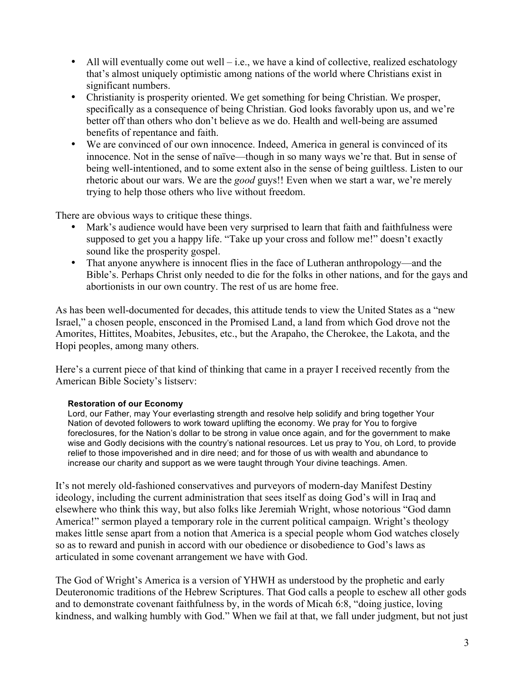- All will eventually come out well i.e., we have a kind of collective, realized eschatology that's almost uniquely optimistic among nations of the world where Christians exist in significant numbers.
- Christianity is prosperity oriented. We get something for being Christian. We prosper, specifically as a consequence of being Christian. God looks favorably upon us, and we're better off than others who don't believe as we do. Health and well-being are assumed benefits of repentance and faith.
- We are convinced of our own innocence. Indeed, America in general is convinced of its innocence. Not in the sense of naïve—though in so many ways we're that. But in sense of being well-intentioned, and to some extent also in the sense of being guiltless. Listen to our rhetoric about our wars. We are the *good* guys!! Even when we start a war, we're merely trying to help those others who live without freedom.

There are obvious ways to critique these things.

- Mark's audience would have been very surprised to learn that faith and faithfulness were supposed to get you a happy life. "Take up your cross and follow me!" doesn't exactly sound like the prosperity gospel.
- That anyone anywhere is innocent flies in the face of Lutheran anthropology—and the Bible's. Perhaps Christ only needed to die for the folks in other nations, and for the gays and abortionists in our own country. The rest of us are home free.

As has been well-documented for decades, this attitude tends to view the United States as a "new Israel," a chosen people, ensconced in the Promised Land, a land from which God drove not the Amorites, Hittites, Moabites, Jebusites, etc., but the Arapaho, the Cherokee, the Lakota, and the Hopi peoples, among many others.

Here's a current piece of that kind of thinking that came in a prayer I received recently from the American Bible Society's listserv:

## **Restoration of our Economy**

Lord, our Father, may Your everlasting strength and resolve help solidify and bring together Your Nation of devoted followers to work toward uplifting the economy. We pray for You to forgive foreclosures, for the Nation's dollar to be strong in value once again, and for the government to make wise and Godly decisions with the country's national resources. Let us pray to You, oh Lord, to provide relief to those impoverished and in dire need; and for those of us with wealth and abundance to increase our charity and support as we were taught through Your divine teachings. Amen.

It's not merely old-fashioned conservatives and purveyors of modern-day Manifest Destiny ideology, including the current administration that sees itself as doing God's will in Iraq and elsewhere who think this way, but also folks like Jeremiah Wright, whose notorious "God damn America!" sermon played a temporary role in the current political campaign. Wright's theology makes little sense apart from a notion that America is a special people whom God watches closely so as to reward and punish in accord with our obedience or disobedience to God's laws as articulated in some covenant arrangement we have with God.

The God of Wright's America is a version of YHWH as understood by the prophetic and early Deuteronomic traditions of the Hebrew Scriptures. That God calls a people to eschew all other gods and to demonstrate covenant faithfulness by, in the words of Micah 6:8, "doing justice, loving kindness, and walking humbly with God." When we fail at that, we fall under judgment, but not just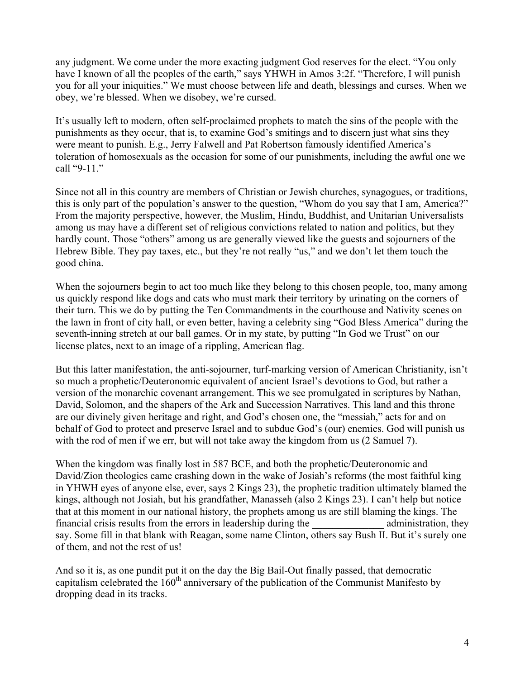any judgment. We come under the more exacting judgment God reserves for the elect. "You only have I known of all the peoples of the earth," says YHWH in Amos 3:2f. "Therefore, I will punish you for all your iniquities." We must choose between life and death, blessings and curses. When we obey, we're blessed. When we disobey, we're cursed.

It's usually left to modern, often self-proclaimed prophets to match the sins of the people with the punishments as they occur, that is, to examine God's smitings and to discern just what sins they were meant to punish. E.g., Jerry Falwell and Pat Robertson famously identified America's toleration of homosexuals as the occasion for some of our punishments, including the awful one we call "9-11."

Since not all in this country are members of Christian or Jewish churches, synagogues, or traditions, this is only part of the population's answer to the question, "Whom do you say that I am, America?" From the majority perspective, however, the Muslim, Hindu, Buddhist, and Unitarian Universalists among us may have a different set of religious convictions related to nation and politics, but they hardly count. Those "others" among us are generally viewed like the guests and sojourners of the Hebrew Bible. They pay taxes, etc., but they're not really "us," and we don't let them touch the good china.

When the sojourners begin to act too much like they belong to this chosen people, too, many among us quickly respond like dogs and cats who must mark their territory by urinating on the corners of their turn. This we do by putting the Ten Commandments in the courthouse and Nativity scenes on the lawn in front of city hall, or even better, having a celebrity sing "God Bless America" during the seventh-inning stretch at our ball games. Or in my state, by putting "In God we Trust" on our license plates, next to an image of a rippling, American flag.

But this latter manifestation, the anti-sojourner, turf-marking version of American Christianity, isn't so much a prophetic/Deuteronomic equivalent of ancient Israel's devotions to God, but rather a version of the monarchic covenant arrangement. This we see promulgated in scriptures by Nathan, David, Solomon, and the shapers of the Ark and Succession Narratives. This land and this throne are our divinely given heritage and right, and God's chosen one, the "messiah," acts for and on behalf of God to protect and preserve Israel and to subdue God's (our) enemies. God will punish us with the rod of men if we err, but will not take away the kingdom from us  $(2 \text{ Samuel 7})$ .

When the kingdom was finally lost in 587 BCE, and both the prophetic/Deuteronomic and David/Zion theologies came crashing down in the wake of Josiah's reforms (the most faithful king in YHWH eyes of anyone else, ever, says 2 Kings 23), the prophetic tradition ultimately blamed the kings, although not Josiah, but his grandfather, Manasseh (also 2 Kings 23). I can't help but notice that at this moment in our national history, the prophets among us are still blaming the kings. The financial crisis results from the errors in leadership during the administration, they say. Some fill in that blank with Reagan, some name Clinton, others say Bush II. But it's surely one of them, and not the rest of us!

And so it is, as one pundit put it on the day the Big Bail-Out finally passed, that democratic capitalism celebrated the  $160<sup>th</sup>$  anniversary of the publication of the Communist Manifesto by dropping dead in its tracks.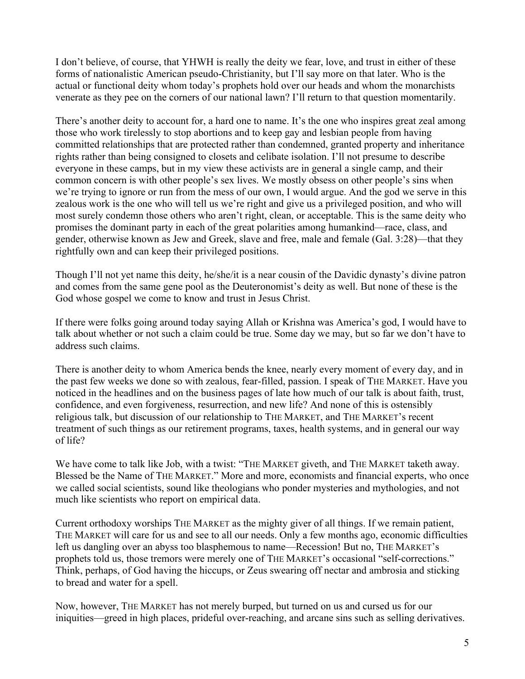I don't believe, of course, that YHWH is really the deity we fear, love, and trust in either of these forms of nationalistic American pseudo-Christianity, but I'll say more on that later. Who is the actual or functional deity whom today's prophets hold over our heads and whom the monarchists venerate as they pee on the corners of our national lawn? I'll return to that question momentarily.

There's another deity to account for, a hard one to name. It's the one who inspires great zeal among those who work tirelessly to stop abortions and to keep gay and lesbian people from having committed relationships that are protected rather than condemned, granted property and inheritance rights rather than being consigned to closets and celibate isolation. I'll not presume to describe everyone in these camps, but in my view these activists are in general a single camp, and their common concern is with other people's sex lives. We mostly obsess on other people's sins when we're trying to ignore or run from the mess of our own, I would argue. And the god we serve in this zealous work is the one who will tell us we're right and give us a privileged position, and who will most surely condemn those others who aren't right, clean, or acceptable. This is the same deity who promises the dominant party in each of the great polarities among humankind—race, class, and gender, otherwise known as Jew and Greek, slave and free, male and female (Gal. 3:28)—that they rightfully own and can keep their privileged positions.

Though I'll not yet name this deity, he/she/it is a near cousin of the Davidic dynasty's divine patron and comes from the same gene pool as the Deuteronomist's deity as well. But none of these is the God whose gospel we come to know and trust in Jesus Christ.

If there were folks going around today saying Allah or Krishna was America's god, I would have to talk about whether or not such a claim could be true. Some day we may, but so far we don't have to address such claims.

There is another deity to whom America bends the knee, nearly every moment of every day, and in the past few weeks we done so with zealous, fear-filled, passion. I speak of THE MARKET. Have you noticed in the headlines and on the business pages of late how much of our talk is about faith, trust, confidence, and even forgiveness, resurrection, and new life? And none of this is ostensibly religious talk, but discussion of our relationship to THE MARKET, and THE MARKET's recent treatment of such things as our retirement programs, taxes, health systems, and in general our way of life?

We have come to talk like Job, with a twist: "THE MARKET giveth, and THE MARKET taketh away. Blessed be the Name of THE MARKET." More and more, economists and financial experts, who once we called social scientists, sound like theologians who ponder mysteries and mythologies, and not much like scientists who report on empirical data.

Current orthodoxy worships THE MARKET as the mighty giver of all things. If we remain patient, THE MARKET will care for us and see to all our needs. Only a few months ago, economic difficulties left us dangling over an abyss too blasphemous to name—Recession! But no, THE MARKET's prophets told us, those tremors were merely one of THE MARKET's occasional "self-corrections." Think, perhaps, of God having the hiccups, or Zeus swearing off nectar and ambrosia and sticking to bread and water for a spell.

Now, however, THE MARKET has not merely burped, but turned on us and cursed us for our iniquities—greed in high places, prideful over-reaching, and arcane sins such as selling derivatives.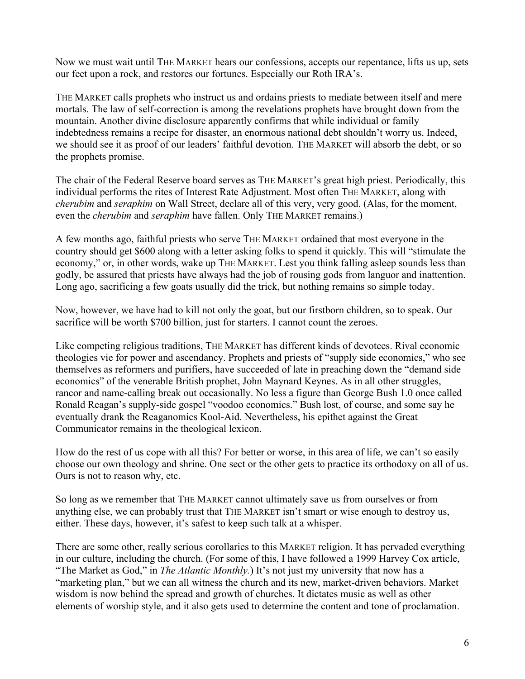Now we must wait until THE MARKET hears our confessions, accepts our repentance, lifts us up, sets our feet upon a rock, and restores our fortunes. Especially our Roth IRA's.

THE MARKET calls prophets who instruct us and ordains priests to mediate between itself and mere mortals. The law of self-correction is among the revelations prophets have brought down from the mountain. Another divine disclosure apparently confirms that while individual or family indebtedness remains a recipe for disaster, an enormous national debt shouldn't worry us. Indeed, we should see it as proof of our leaders' faithful devotion. THE MARKET will absorb the debt, or so the prophets promise.

The chair of the Federal Reserve board serves as THE MARKET's great high priest. Periodically, this individual performs the rites of Interest Rate Adjustment. Most often THE MARKET, along with *cherubim* and *seraphim* on Wall Street, declare all of this very, very good. (Alas, for the moment, even the *cherubim* and *seraphim* have fallen. Only THE MARKET remains.)

A few months ago, faithful priests who serve THE MARKET ordained that most everyone in the country should get \$600 along with a letter asking folks to spend it quickly. This will "stimulate the economy," or, in other words, wake up THE MARKET. Lest you think falling asleep sounds less than godly, be assured that priests have always had the job of rousing gods from languor and inattention. Long ago, sacrificing a few goats usually did the trick, but nothing remains so simple today.

Now, however, we have had to kill not only the goat, but our firstborn children, so to speak. Our sacrifice will be worth \$700 billion, just for starters. I cannot count the zeroes.

Like competing religious traditions, THE MARKET has different kinds of devotees. Rival economic theologies vie for power and ascendancy. Prophets and priests of "supply side economics," who see themselves as reformers and purifiers, have succeeded of late in preaching down the "demand side economics" of the venerable British prophet, John Maynard Keynes. As in all other struggles, rancor and name-calling break out occasionally. No less a figure than George Bush 1.0 once called Ronald Reagan's supply-side gospel "voodoo economics." Bush lost, of course, and some say he eventually drank the Reaganomics Kool-Aid. Nevertheless, his epithet against the Great Communicator remains in the theological lexicon.

How do the rest of us cope with all this? For better or worse, in this area of life, we can't so easily choose our own theology and shrine. One sect or the other gets to practice its orthodoxy on all of us. Ours is not to reason why, etc.

So long as we remember that THE MARKET cannot ultimately save us from ourselves or from anything else, we can probably trust that THE MARKET isn't smart or wise enough to destroy us, either. These days, however, it's safest to keep such talk at a whisper.

There are some other, really serious corollaries to this MARKET religion. It has pervaded everything in our culture, including the church. (For some of this, I have followed a 1999 Harvey Cox article, "The Market as God," in *The Atlantic Monthly.*) It's not just my university that now has a "marketing plan," but we can all witness the church and its new, market-driven behaviors. Market wisdom is now behind the spread and growth of churches. It dictates music as well as other elements of worship style, and it also gets used to determine the content and tone of proclamation.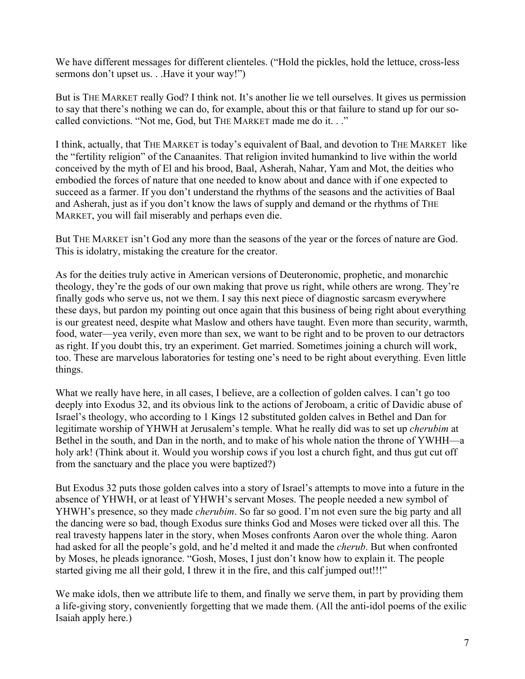We have different messages for different clienteles. ("Hold the pickles, hold the lettuce, cross-less sermons don't upset us. . .Have it your way!")

But is THE MARKET really God? I think not. It's another lie we tell ourselves. It gives us permission to say that there's nothing we can do, for example, about this or that failure to stand up for our socalled convictions. "Not me, God, but THE MARKET made me do it. . ."

I think, actually, that THE MARKET is today's equivalent of Baal, and devotion to THE MARKET like the "fertility religion" of the Canaanites. That religion invited humankind to live within the world conceived by the myth of El and his brood, Baal, Asherah, Nahar, Yam and Mot, the deities who embodied the forces of nature that one needed to know about and dance with if one expected to succeed as a farmer. If you don't understand the rhythms of the seasons and the activities of Baal and Asherah, just as if you don't know the laws of supply and demand or the rhythms of THE MARKET, you will fail miserably and perhaps even die.

But THE MARKET isn't God any more than the seasons of the year or the forces of nature are God. This is idolatry, mistaking the creature for the creator.

As for the deities truly active in American versions of Deuteronomic, prophetic, and monarchic theology, they're the gods of our own making that prove us right, while others are wrong. They're finally gods who serve us, not we them. I say this next piece of diagnostic sarcasm everywhere these days, but pardon my pointing out once again that this business of being right about everything is our greatest need, despite what Maslow and others have taught. Even more than security, warmth, food, water—yea verily, even more than sex, we want to be right and to be proven to our detractors as right. If you doubt this, try an experiment. Get married. Sometimes joining a church will work, too. These are marvelous laboratories for testing one's need to be right about everything. Even little things.

What we really have here, in all cases, I believe, are a collection of golden calves. I can't go too deeply into Exodus 32, and its obvious link to the actions of Jeroboam, a critic of Davidic abuse of Israel's theology, who according to 1 Kings 12 substituted golden calves in Bethel and Dan for legitimate worship of YHWH at Jerusalem's temple. What he really did was to set up *cherubim* at Bethel in the south, and Dan in the north, and to make of his whole nation the throne of YWHH—a holy ark! (Think about it. Would you worship cows if you lost a church fight, and thus gut cut off from the sanctuary and the place you were baptized?)

But Exodus 32 puts those golden calves into a story of Israel's attempts to move into a future in the absence of YHWH, or at least of YHWH's servant Moses. The people needed a new symbol of YHWH's presence, so they made *cherubim*. So far so good. I'm not even sure the big party and all the dancing were so bad, though Exodus sure thinks God and Moses were ticked over all this. The real travesty happens later in the story, when Moses confronts Aaron over the whole thing. Aaron had asked for all the people's gold, and he'd melted it and made the *cherub*. But when confronted by Moses, he pleads ignorance. "Gosh, Moses, I just don't know how to explain it. The people started giving me all their gold, I threw it in the fire, and this calf jumped out!!!"

We make idols, then we attribute life to them, and finally we serve them, in part by providing them a life-giving story, conveniently forgetting that we made them. (All the anti-idol poems of the exilic Isaiah apply here.)